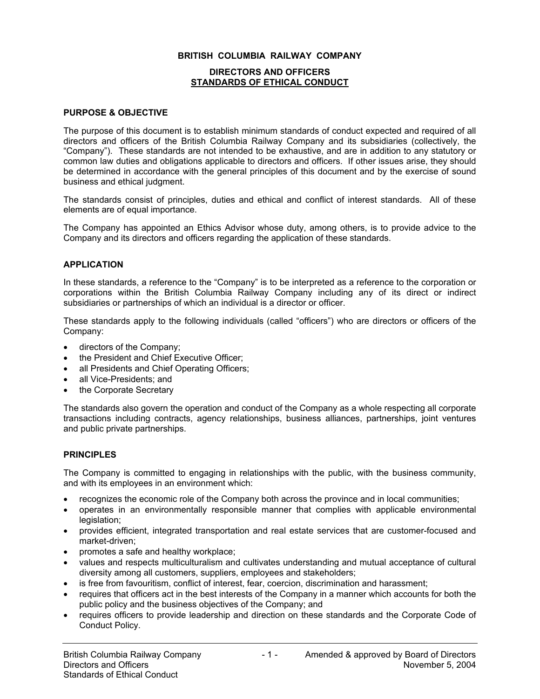## **BRITISH COLUMBIA RAILWAY COMPANY**

### **DIRECTORS AND OFFICERS STANDARDS OF ETHICAL CONDUCT**

#### **PURPOSE & OBJECTIVE**

The purpose of this document is to establish minimum standards of conduct expected and required of all directors and officers of the British Columbia Railway Company and its subsidiaries (collectively, the "Company"). These standards are not intended to be exhaustive, and are in addition to any statutory or common law duties and obligations applicable to directors and officers. If other issues arise, they should be determined in accordance with the general principles of this document and by the exercise of sound business and ethical judgment.

The standards consist of principles, duties and ethical and conflict of interest standards. All of these elements are of equal importance.

The Company has appointed an Ethics Advisor whose duty, among others, is to provide advice to the Company and its directors and officers regarding the application of these standards.

#### **APPLICATION**

In these standards, a reference to the "Company" is to be interpreted as a reference to the corporation or corporations within the British Columbia Railway Company including any of its direct or indirect subsidiaries or partnerships of which an individual is a director or officer.

These standards apply to the following individuals (called "officers") who are directors or officers of the Company:

- directors of the Company;
- the President and Chief Executive Officer;
- all Presidents and Chief Operating Officers;
- all Vice-Presidents; and
- the Corporate Secretary

The standards also govern the operation and conduct of the Company as a whole respecting all corporate transactions including contracts, agency relationships, business alliances, partnerships, joint ventures and public private partnerships.

#### **PRINCIPLES**

The Company is committed to engaging in relationships with the public, with the business community, and with its employees in an environment which:

- recognizes the economic role of the Company both across the province and in local communities;
- operates in an environmentally responsible manner that complies with applicable environmental legislation;
- provides efficient, integrated transportation and real estate services that are customer-focused and market-driven;
- promotes a safe and healthy workplace;
- values and respects multiculturalism and cultivates understanding and mutual acceptance of cultural diversity among all customers, suppliers, employees and stakeholders;
- is free from favouritism, conflict of interest, fear, coercion, discrimination and harassment;
- requires that officers act in the best interests of the Company in a manner which accounts for both the public policy and the business objectives of the Company; and
- requires officers to provide leadership and direction on these standards and the Corporate Code of Conduct Policy.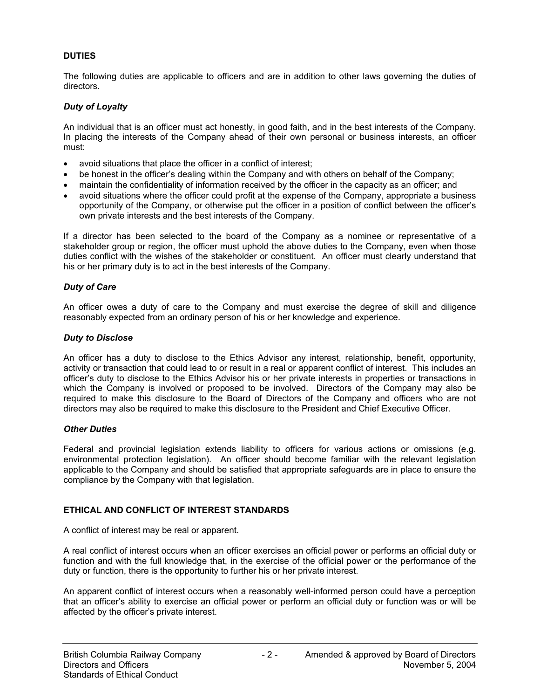# **DUTIES**

The following duties are applicable to officers and are in addition to other laws governing the duties of directors.

# *Duty of Loyalty*

An individual that is an officer must act honestly, in good faith, and in the best interests of the Company. In placing the interests of the Company ahead of their own personal or business interests, an officer must:

- avoid situations that place the officer in a conflict of interest;
- be honest in the officer's dealing within the Company and with others on behalf of the Company;
- maintain the confidentiality of information received by the officer in the capacity as an officer; and
- avoid situations where the officer could profit at the expense of the Company, appropriate a business opportunity of the Company, or otherwise put the officer in a position of conflict between the officer's own private interests and the best interests of the Company.

If a director has been selected to the board of the Company as a nominee or representative of a stakeholder group or region, the officer must uphold the above duties to the Company, even when those duties conflict with the wishes of the stakeholder or constituent. An officer must clearly understand that his or her primary duty is to act in the best interests of the Company.

## *Duty of Care*

An officer owes a duty of care to the Company and must exercise the degree of skill and diligence reasonably expected from an ordinary person of his or her knowledge and experience.

### *Duty to Disclose*

An officer has a duty to disclose to the Ethics Advisor any interest, relationship, benefit, opportunity, activity or transaction that could lead to or result in a real or apparent conflict of interest. This includes an officer's duty to disclose to the Ethics Advisor his or her private interests in properties or transactions in which the Company is involved or proposed to be involved. Directors of the Company may also be required to make this disclosure to the Board of Directors of the Company and officers who are not directors may also be required to make this disclosure to the President and Chief Executive Officer.

### *Other Duties*

Federal and provincial legislation extends liability to officers for various actions or omissions (e.g. environmental protection legislation). An officer should become familiar with the relevant legislation applicable to the Company and should be satisfied that appropriate safeguards are in place to ensure the compliance by the Company with that legislation.

## **ETHICAL AND CONFLICT OF INTEREST STANDARDS**

A conflict of interest may be real or apparent.

A real conflict of interest occurs when an officer exercises an official power or performs an official duty or function and with the full knowledge that, in the exercise of the official power or the performance of the duty or function, there is the opportunity to further his or her private interest.

An apparent conflict of interest occurs when a reasonably well-informed person could have a perception that an officer's ability to exercise an official power or perform an official duty or function was or will be affected by the officer's private interest.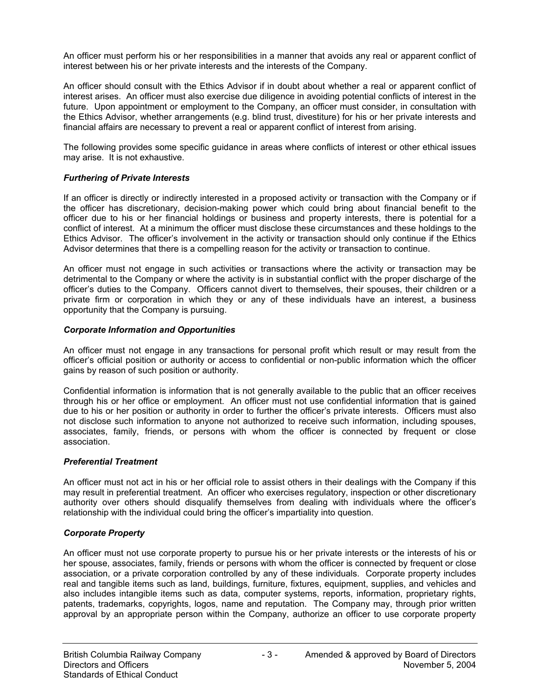An officer must perform his or her responsibilities in a manner that avoids any real or apparent conflict of interest between his or her private interests and the interests of the Company.

An officer should consult with the Ethics Advisor if in doubt about whether a real or apparent conflict of interest arises. An officer must also exercise due diligence in avoiding potential conflicts of interest in the future. Upon appointment or employment to the Company, an officer must consider, in consultation with the Ethics Advisor, whether arrangements (e.g. blind trust, divestiture) for his or her private interests and financial affairs are necessary to prevent a real or apparent conflict of interest from arising.

The following provides some specific guidance in areas where conflicts of interest or other ethical issues may arise. It is not exhaustive.

## *Furthering of Private Interests*

If an officer is directly or indirectly interested in a proposed activity or transaction with the Company or if the officer has discretionary, decision-making power which could bring about financial benefit to the officer due to his or her financial holdings or business and property interests, there is potential for a conflict of interest. At a minimum the officer must disclose these circumstances and these holdings to the Ethics Advisor. The officer's involvement in the activity or transaction should only continue if the Ethics Advisor determines that there is a compelling reason for the activity or transaction to continue.

An officer must not engage in such activities or transactions where the activity or transaction may be detrimental to the Company or where the activity is in substantial conflict with the proper discharge of the officer's duties to the Company. Officers cannot divert to themselves, their spouses, their children or a private firm or corporation in which they or any of these individuals have an interest, a business opportunity that the Company is pursuing.

### *Corporate Information and Opportunities*

An officer must not engage in any transactions for personal profit which result or may result from the officer's official position or authority or access to confidential or non-public information which the officer gains by reason of such position or authority.

Confidential information is information that is not generally available to the public that an officer receives through his or her office or employment. An officer must not use confidential information that is gained due to his or her position or authority in order to further the officer's private interests. Officers must also not disclose such information to anyone not authorized to receive such information, including spouses, associates, family, friends, or persons with whom the officer is connected by frequent or close association.

### *Preferential Treatment*

An officer must not act in his or her official role to assist others in their dealings with the Company if this may result in preferential treatment. An officer who exercises regulatory, inspection or other discretionary authority over others should disqualify themselves from dealing with individuals where the officer's relationship with the individual could bring the officer's impartiality into question.

### *Corporate Property*

An officer must not use corporate property to pursue his or her private interests or the interests of his or her spouse, associates, family, friends or persons with whom the officer is connected by frequent or close association, or a private corporation controlled by any of these individuals. Corporate property includes real and tangible items such as land, buildings, furniture, fixtures, equipment, supplies, and vehicles and also includes intangible items such as data, computer systems, reports, information, proprietary rights, patents, trademarks, copyrights, logos, name and reputation. The Company may, through prior written approval by an appropriate person within the Company, authorize an officer to use corporate property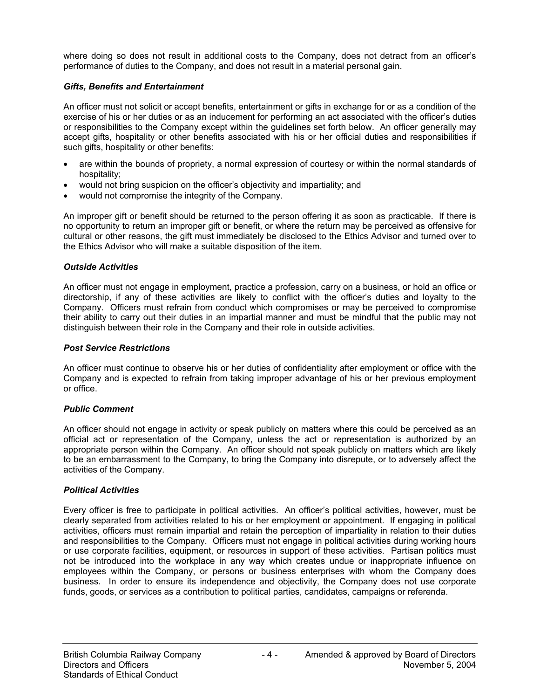where doing so does not result in additional costs to the Company, does not detract from an officer's performance of duties to the Company, and does not result in a material personal gain.

### *Gifts, Benefits and Entertainment*

An officer must not solicit or accept benefits, entertainment or gifts in exchange for or as a condition of the exercise of his or her duties or as an inducement for performing an act associated with the officer's duties or responsibilities to the Company except within the guidelines set forth below. An officer generally may accept gifts, hospitality or other benefits associated with his or her official duties and responsibilities if such gifts, hospitality or other benefits:

- are within the bounds of propriety, a normal expression of courtesy or within the normal standards of hospitality;
- would not bring suspicion on the officer's objectivity and impartiality; and
- would not compromise the integrity of the Company.

An improper gift or benefit should be returned to the person offering it as soon as practicable. If there is no opportunity to return an improper gift or benefit, or where the return may be perceived as offensive for cultural or other reasons, the gift must immediately be disclosed to the Ethics Advisor and turned over to the Ethics Advisor who will make a suitable disposition of the item.

### *Outside Activities*

An officer must not engage in employment, practice a profession, carry on a business, or hold an office or directorship, if any of these activities are likely to conflict with the officer's duties and loyalty to the Company. Officers must refrain from conduct which compromises or may be perceived to compromise their ability to carry out their duties in an impartial manner and must be mindful that the public may not distinguish between their role in the Company and their role in outside activities.

## *Post Service Restrictions*

An officer must continue to observe his or her duties of confidentiality after employment or office with the Company and is expected to refrain from taking improper advantage of his or her previous employment or office.

### *Public Comment*

An officer should not engage in activity or speak publicly on matters where this could be perceived as an official act or representation of the Company, unless the act or representation is authorized by an appropriate person within the Company. An officer should not speak publicly on matters which are likely to be an embarrassment to the Company, to bring the Company into disrepute, or to adversely affect the activities of the Company.

### *Political Activities*

Every officer is free to participate in political activities. An officer's political activities, however, must be clearly separated from activities related to his or her employment or appointment. If engaging in political activities, officers must remain impartial and retain the perception of impartiality in relation to their duties and responsibilities to the Company. Officers must not engage in political activities during working hours or use corporate facilities, equipment, or resources in support of these activities. Partisan politics must not be introduced into the workplace in any way which creates undue or inappropriate influence on employees within the Company, or persons or business enterprises with whom the Company does business. In order to ensure its independence and objectivity, the Company does not use corporate funds, goods, or services as a contribution to political parties, candidates, campaigns or referenda.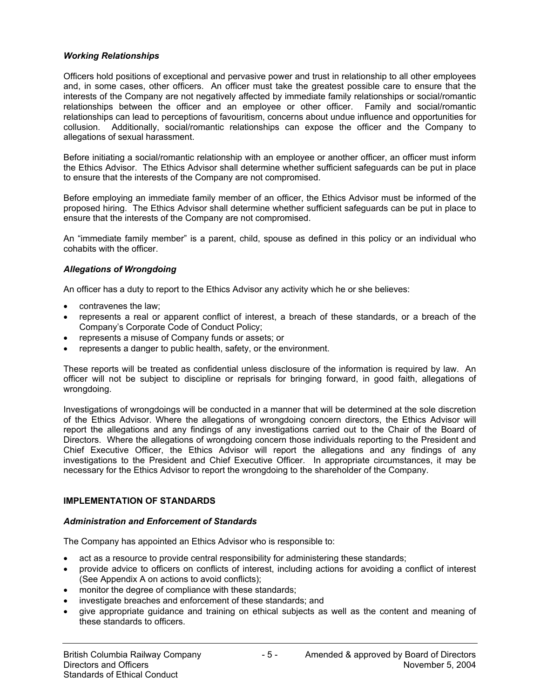## *Working Relationships*

Officers hold positions of exceptional and pervasive power and trust in relationship to all other employees and, in some cases, other officers. An officer must take the greatest possible care to ensure that the interests of the Company are not negatively affected by immediate family relationships or social/romantic relationships between the officer and an employee or other officer. Family and social/romantic relationships can lead to perceptions of favouritism, concerns about undue influence and opportunities for collusion. Additionally, social/romantic relationships can expose the officer and the Company to allegations of sexual harassment.

Before initiating a social/romantic relationship with an employee or another officer, an officer must inform the Ethics Advisor. The Ethics Advisor shall determine whether sufficient safeguards can be put in place to ensure that the interests of the Company are not compromised.

Before employing an immediate family member of an officer, the Ethics Advisor must be informed of the proposed hiring. The Ethics Advisor shall determine whether sufficient safeguards can be put in place to ensure that the interests of the Company are not compromised.

An "immediate family member" is a parent, child, spouse as defined in this policy or an individual who cohabits with the officer.

## *Allegations of Wrongdoing*

An officer has a duty to report to the Ethics Advisor any activity which he or she believes:

- contravenes the law;
- represents a real or apparent conflict of interest, a breach of these standards, or a breach of the Company's Corporate Code of Conduct Policy;
- represents a misuse of Company funds or assets; or
- represents a danger to public health, safety, or the environment.

These reports will be treated as confidential unless disclosure of the information is required by law. An officer will not be subject to discipline or reprisals for bringing forward, in good faith, allegations of wrongdoing.

Investigations of wrongdoings will be conducted in a manner that will be determined at the sole discretion of the Ethics Advisor. Where the allegations of wrongdoing concern directors, the Ethics Advisor will report the allegations and any findings of any investigations carried out to the Chair of the Board of Directors. Where the allegations of wrongdoing concern those individuals reporting to the President and Chief Executive Officer, the Ethics Advisor will report the allegations and any findings of any investigations to the President and Chief Executive Officer. In appropriate circumstances, it may be necessary for the Ethics Advisor to report the wrongdoing to the shareholder of the Company.

# **IMPLEMENTATION OF STANDARDS**

### *Administration and Enforcement of Standards*

The Company has appointed an Ethics Advisor who is responsible to:

- act as a resource to provide central responsibility for administering these standards;
- provide advice to officers on conflicts of interest, including actions for avoiding a conflict of interest (See Appendix A on actions to avoid conflicts);
- monitor the degree of compliance with these standards;
- investigate breaches and enforcement of these standards; and
- give appropriate guidance and training on ethical subjects as well as the content and meaning of these standards to officers.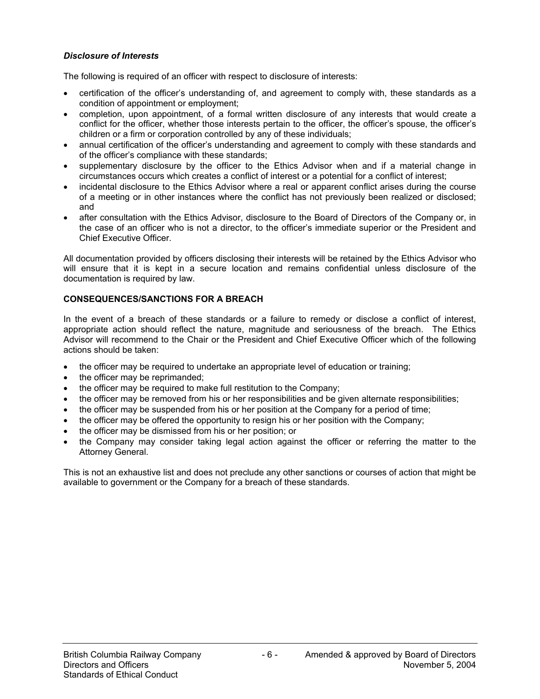# *Disclosure of Interests*

The following is required of an officer with respect to disclosure of interests:

- certification of the officer's understanding of, and agreement to comply with, these standards as a condition of appointment or employment;
- completion, upon appointment, of a formal written disclosure of any interests that would create a conflict for the officer, whether those interests pertain to the officer, the officer's spouse, the officer's children or a firm or corporation controlled by any of these individuals;
- annual certification of the officer's understanding and agreement to comply with these standards and of the officer's compliance with these standards;
- supplementary disclosure by the officer to the Ethics Advisor when and if a material change in circumstances occurs which creates a conflict of interest or a potential for a conflict of interest;
- incidental disclosure to the Ethics Advisor where a real or apparent conflict arises during the course of a meeting or in other instances where the conflict has not previously been realized or disclosed; and
- after consultation with the Ethics Advisor, disclosure to the Board of Directors of the Company or, in the case of an officer who is not a director, to the officer's immediate superior or the President and Chief Executive Officer.

All documentation provided by officers disclosing their interests will be retained by the Ethics Advisor who will ensure that it is kept in a secure location and remains confidential unless disclosure of the documentation is required by law.

### **CONSEQUENCES/SANCTIONS FOR A BREACH**

In the event of a breach of these standards or a failure to remedy or disclose a conflict of interest, appropriate action should reflect the nature, magnitude and seriousness of the breach. The Ethics Advisor will recommend to the Chair or the President and Chief Executive Officer which of the following actions should be taken:

- the officer may be required to undertake an appropriate level of education or training;
- the officer may be reprimanded;
- the officer may be required to make full restitution to the Company;
- the officer may be removed from his or her responsibilities and be given alternate responsibilities;
- the officer may be suspended from his or her position at the Company for a period of time;
- the officer may be offered the opportunity to resign his or her position with the Company;
- the officer may be dismissed from his or her position; or
- the Company may consider taking legal action against the officer or referring the matter to the Attorney General.

This is not an exhaustive list and does not preclude any other sanctions or courses of action that might be available to government or the Company for a breach of these standards.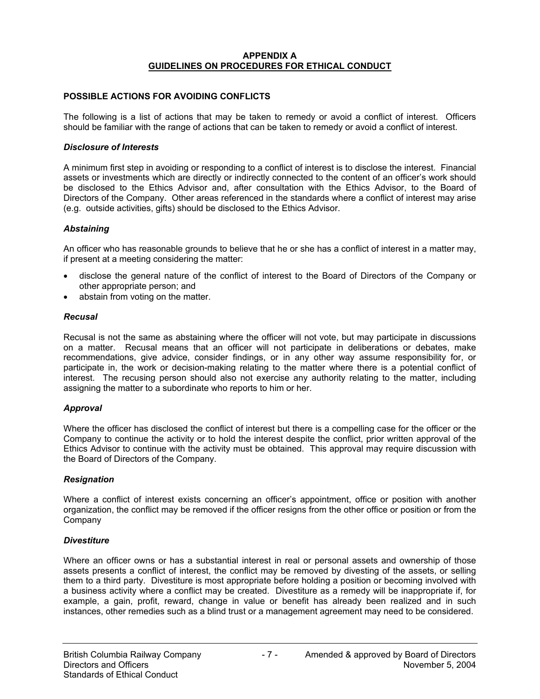### **APPENDIX A GUIDELINES ON PROCEDURES FOR ETHICAL CONDUCT**

## **POSSIBLE ACTIONS FOR AVOIDING CONFLICTS**

The following is a list of actions that may be taken to remedy or avoid a conflict of interest. Officers should be familiar with the range of actions that can be taken to remedy or avoid a conflict of interest.

### *Disclosure of Interests*

A minimum first step in avoiding or responding to a conflict of interest is to disclose the interest. Financial assets or investments which are directly or indirectly connected to the content of an officer's work should be disclosed to the Ethics Advisor and, after consultation with the Ethics Advisor, to the Board of Directors of the Company. Other areas referenced in the standards where a conflict of interest may arise (e.g. outside activities, gifts) should be disclosed to the Ethics Advisor.

### *Abstaining*

An officer who has reasonable grounds to believe that he or she has a conflict of interest in a matter may, if present at a meeting considering the matter:

- disclose the general nature of the conflict of interest to the Board of Directors of the Company or other appropriate person; and
- abstain from voting on the matter.

### *Recusal*

Recusal is not the same as abstaining where the officer will not vote, but may participate in discussions on a matter. Recusal means that an officer will not participate in deliberations or debates, make recommendations, give advice, consider findings, or in any other way assume responsibility for, or participate in, the work or decision-making relating to the matter where there is a potential conflict of interest. The recusing person should also not exercise any authority relating to the matter, including assigning the matter to a subordinate who reports to him or her.

### *Approval*

Where the officer has disclosed the conflict of interest but there is a compelling case for the officer or the Company to continue the activity or to hold the interest despite the conflict, prior written approval of the Ethics Advisor to continue with the activity must be obtained. This approval may require discussion with the Board of Directors of the Company.

### *Resignation*

Where a conflict of interest exists concerning an officer's appointment, office or position with another organization, the conflict may be removed if the officer resigns from the other office or position or from the Company

### *Divestiture*

Where an officer owns or has a substantial interest in real or personal assets and ownership of those assets presents a conflict of interest, the conflict may be removed by divesting of the assets, or selling them to a third party. Divestiture is most appropriate before holding a position or becoming involved with a business activity where a conflict may be created. Divestiture as a remedy will be inappropriate if, for example, a gain, profit, reward, change in value or benefit has already been realized and in such instances, other remedies such as a blind trust or a management agreement may need to be considered.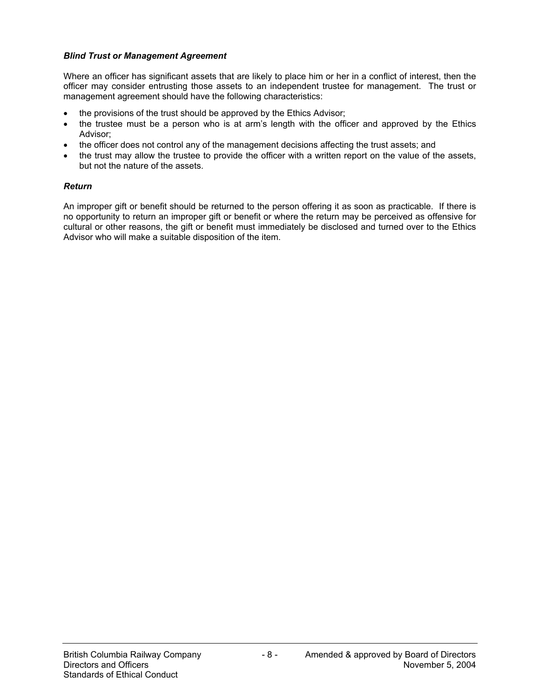# *Blind Trust or Management Agreement*

Where an officer has significant assets that are likely to place him or her in a conflict of interest, then the officer may consider entrusting those assets to an independent trustee for management. The trust or management agreement should have the following characteristics:

- the provisions of the trust should be approved by the Ethics Advisor;
- the trustee must be a person who is at arm's length with the officer and approved by the Ethics Advisor;
- the officer does not control any of the management decisions affecting the trust assets; and
- the trust may allow the trustee to provide the officer with a written report on the value of the assets, but not the nature of the assets.

## *Return*

An improper gift or benefit should be returned to the person offering it as soon as practicable. If there is no opportunity to return an improper gift or benefit or where the return may be perceived as offensive for cultural or other reasons, the gift or benefit must immediately be disclosed and turned over to the Ethics Advisor who will make a suitable disposition of the item.